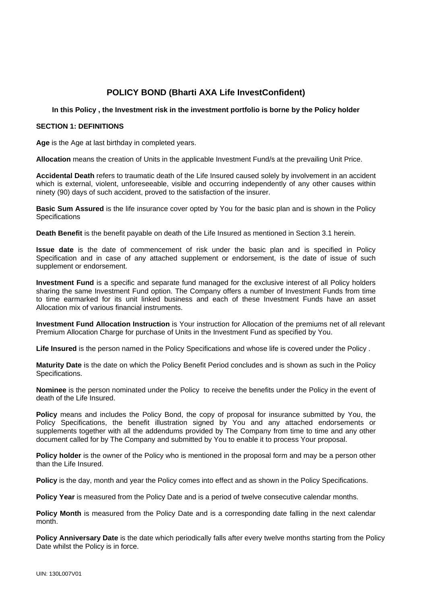# **POLICY BOND (Bharti AXA Life InvestConfident)**

# **In this Policy , the Investment risk in the investment portfolio is borne by the Policy holder**

# **SECTION 1: DEFINITIONS**

**Age** is the Age at last birthday in completed years.

**Allocation** means the creation of Units in the applicable Investment Fund/s at the prevailing Unit Price.

**Accidental Death** refers to traumatic death of the Life Insured caused solely by involvement in an accident which is external, violent, unforeseeable, visible and occurring independently of any other causes within ninety (90) days of such accident, proved to the satisfaction of the insurer.

**Basic Sum Assured** is the life insurance cover opted by You for the basic plan and is shown in the Policy Specifications

**Death Benefit** is the benefit payable on death of the Life Insured as mentioned in Section 3.1 herein.

**Issue date** is the date of commencement of risk under the basic plan and is specified in Policy Specification and in case of any attached supplement or endorsement, is the date of issue of such supplement or endorsement.

**Investment Fund** is a specific and separate fund managed for the exclusive interest of all Policy holders sharing the same Investment Fund option. The Company offers a number of Investment Funds from time to time earmarked for its unit linked business and each of these Investment Funds have an asset Allocation mix of various financial instruments.

**Investment Fund Allocation Instruction** is Your instruction for Allocation of the premiums net of all relevant Premium Allocation Charge for purchase of Units in the Investment Fund as specified by You.

**Life Insured** is the person named in the Policy Specifications and whose life is covered under the Policy .

**Maturity Date** is the date on which the Policy Benefit Period concludes and is shown as such in the Policy Specifications.

**Nominee** is the person nominated under the Policy to receive the benefits under the Policy in the event of death of the Life Insured.

**Policy** means and includes the Policy Bond, the copy of proposal for insurance submitted by You, the Policy Specifications, the benefit illustration signed by You and any attached endorsements or supplements together with all the addendums provided by The Company from time to time and any other document called for by The Company and submitted by You to enable it to process Your proposal.

**Policy holder** is the owner of the Policy who is mentioned in the proposal form and may be a person other than the Life Insured.

**Policy** is the day, month and year the Policy comes into effect and as shown in the Policy Specifications.

**Policy Year** is measured from the Policy Date and is a period of twelve consecutive calendar months.

**Policy Month** is measured from the Policy Date and is a corresponding date falling in the next calendar month.

**Policy Anniversary Date** is the date which periodically falls after every twelve months starting from the Policy Date whilst the Policy is in force.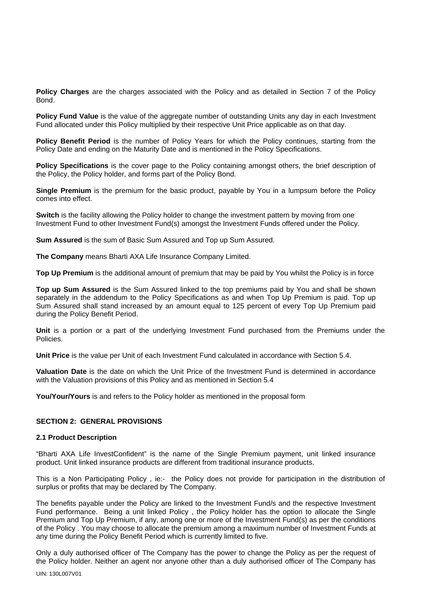**Policy Charges** are the charges associated with the Policy and as detailed in Section 7 of the Policy Bond.

**Policy Fund Value** is the value of the aggregate number of outstanding Units any day in each Investment Fund allocated under this Policy multiplied by their respective Unit Price applicable as on that day.

**Policy Benefit Period** is the number of Policy Years for which the Policy continues, starting from the Policy Date and ending on the Maturity Date and is mentioned in the Policy Specifications.

**Policy Specifications** is the cover page to the Policy containing amongst others, the brief description of the Policy, the Policy holder, and forms part of the Policy Bond.

**Single Premium** is the premium for the basic product, payable by You in a lumpsum before the Policy comes into effect.

**Switch** is the facility allowing the Policy holder to change the investment pattern by moving from one Investment Fund to other Investment Fund(s) amongst the Investment Funds offered under the Policy.

**Sum Assured** is the sum of Basic Sum Assured and Top up Sum Assured.

**The Company** means Bharti AXA Life Insurance Company Limited.

**Top Up Premium** is the additional amount of premium that may be paid by You whilst the Policy is in force

**Top up Sum Assured** is the Sum Assured linked to the top premiums paid by You and shall be shown separately in the addendum to the Policy Specifications as and when Top Up Premium is paid. Top up Sum Assured shall stand increased by an amount equal to 125 percent of every Top Up Premium paid during the Policy Benefit Period.

**Unit** is a portion or a part of the underlying Investment Fund purchased from the Premiums under the Policies.

**Unit Price** is the value per Unit of each Investment Fund calculated in accordance with Section 5.4.

**Valuation Date** is the date on which the Unit Price of the Investment Fund is determined in accordance with the Valuation provisions of this Policy and as mentioned in Section 5.4

**You/Your/Yours** is and refers to the Policy holder as mentioned in the proposal form

# **SECTION 2: GENERAL PROVISIONS**

#### **2.1 Product Description**

"Bharti AXA Life InvestConfident" is the name of the Single Premium payment, unit linked insurance product. Unit linked insurance products are different from traditional insurance products.

This is a Non Participating Policy , ie:- the Policy does not provide for participation in the distribution of surplus or profits that may be declared by The Company.

The benefits payable under the Policy are linked to the Investment Fund/s and the respective Investment Fund performance. Being a unit linked Policy , the Policy holder has the option to allocate the Single Premium and Top Up Premium, if any, among one or more of the Investment Fund(s) as per the conditions of the Policy . You may choose to allocate the premium among a maximum number of Investment Funds at any time during the Policy Benefit Period which is currently limited to five.

Only a duly authorised officer of The Company has the power to change the Policy as per the request of the Policy holder. Neither an agent nor anyone other than a duly authorised officer of The Company has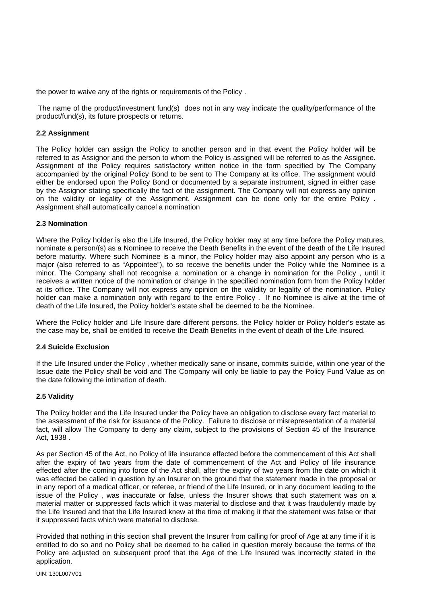the power to waive any of the rights or requirements of the Policy .

 The name of the product/investment fund(s) does not in any way indicate the quality/performance of the product/fund(s), its future prospects or returns.

#### **2.2 Assignment**

The Policy holder can assign the Policy to another person and in that event the Policy holder will be referred to as Assignor and the person to whom the Policy is assigned will be referred to as the Assignee. Assignment of the Policy requires satisfactory written notice in the form specified by The Company accompanied by the original Policy Bond to be sent to The Company at its office. The assignment would either be endorsed upon the Policy Bond or documented by a separate instrument, signed in either case by the Assignor stating specifically the fact of the assignment. The Company will not express any opinion on the validity or legality of the Assignment. Assignment can be done only for the entire Policy . Assignment shall automatically cancel a nomination

#### **2.3 Nomination**

Where the Policy holder is also the Life Insured, the Policy holder may at any time before the Policy matures, nominate a person/(s) as a Nominee to receive the Death Benefits in the event of the death of the Life Insured before maturity. Where such Nominee is a minor, the Policy holder may also appoint any person who is a major (also referred to as "Appointee"), to so receive the benefits under the Policy while the Nominee is a minor. The Company shall not recognise a nomination or a change in nomination for the Policy , until it receives a written notice of the nomination or change in the specified nomination form from the Policy holder at its office. The Company will not express any opinion on the validity or legality of the nomination. Policy holder can make a nomination only with regard to the entire Policy . If no Nominee is alive at the time of death of the Life Insured, the Policy holder's estate shall be deemed to be the Nominee.

Where the Policy holder and Life Insure dare different persons, the Policy holder or Policy holder's estate as the case may be, shall be entitled to receive the Death Benefits in the event of death of the Life Insured.

#### **2.4 Suicide Exclusion**

If the Life Insured under the Policy , whether medically sane or insane, commits suicide, within one year of the Issue date the Policy shall be void and The Company will only be liable to pay the Policy Fund Value as on the date following the intimation of death.

#### **2.5 Validity**

The Policy holder and the Life Insured under the Policy have an obligation to disclose every fact material to the assessment of the risk for issuance of the Policy. Failure to disclose or misrepresentation of a material fact, will allow The Company to deny any claim, subject to the provisions of Section 45 of the Insurance Act, 1938 .

As per Section 45 of the Act, no Policy of life insurance effected before the commencement of this Act shall after the expiry of two years from the date of commencement of the Act and Policy of life insurance effected after the coming into force of the Act shall, after the expiry of two years from the date on which it was effected be called in question by an Insurer on the ground that the statement made in the proposal or in any report of a medical officer, or referee, or friend of the Life Insured, or in any document leading to the issue of the Policy , was inaccurate or false, unless the Insurer shows that such statement was on a material matter or suppressed facts which it was material to disclose and that it was fraudulently made by the Life Insured and that the Life Insured knew at the time of making it that the statement was false or that it suppressed facts which were material to disclose.

Provided that nothing in this section shall prevent the Insurer from calling for proof of Age at any time if it is entitled to do so and no Policy shall be deemed to be called in question merely because the terms of the Policy are adjusted on subsequent proof that the Age of the Life Insured was incorrectly stated in the application.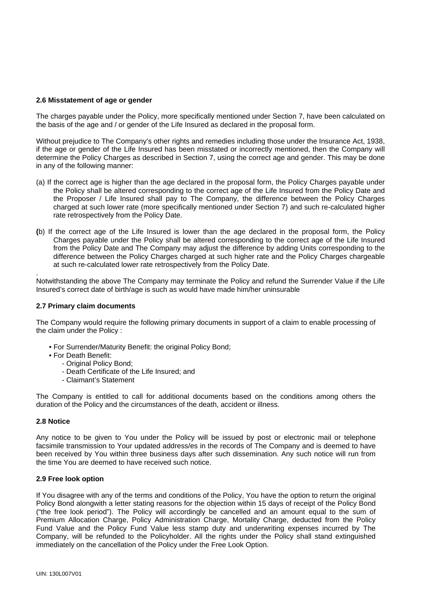# **2.6 Misstatement of age or gender**

The charges payable under the Policy, more specifically mentioned under Section 7, have been calculated on the basis of the age and / or gender of the Life Insured as declared in the proposal form.

Without prejudice to The Company's other rights and remedies including those under the Insurance Act, 1938, if the age or gender of the Life Insured has been misstated or incorrectly mentioned, then the Company will determine the Policy Charges as described in Section 7, using the correct age and gender. This may be done in any of the following manner:

- (a) If the correct age is higher than the age declared in the proposal form, the Policy Charges payable under the Policy shall be altered corresponding to the correct age of the Life Insured from the Policy Date and the Proposer / Life Insured shall pay to The Company, the difference between the Policy Charges charged at such lower rate (more specifically mentioned under Section 7) and such re-calculated higher rate retrospectively from the Policy Date.
- **(**b) If the correct age of the Life Insured is lower than the age declared in the proposal form, the Policy Charges payable under the Policy shall be altered corresponding to the correct age of the Life Insured from the Policy Date and The Company may adjust the difference by adding Units corresponding to the difference between the Policy Charges charged at such higher rate and the Policy Charges chargeable at such re-calculated lower rate retrospectively from the Policy Date.

. Notwithstanding the above The Company may terminate the Policy and refund the Surrender Value if the Life Insured's correct date of birth/age is such as would have made him/her uninsurable

#### **2.7 Primary claim documents**

The Company would require the following primary documents in support of a claim to enable processing of the claim under the Policy :

- For Surrender/Maturity Benefit: the original Policy Bond;
- For Death Benefit:
	- Original Policy Bond;
		- Death Certificate of the Life Insured; and
		- Claimant's Statement

The Company is entitled to call for additional documents based on the conditions among others the duration of the Policy and the circumstances of the death, accident or illness.

# **2.8 Notice**

Any notice to be given to You under the Policy will be issued by post or electronic mail or telephone facsimile transmission to Your updated address/es in the records of The Company and is deemed to have been received by You within three business days after such dissemination. Any such notice will run from the time You are deemed to have received such notice.

#### **2.9 Free look option**

If You disagree with any of the terms and conditions of the Policy, You have the option to return the original Policy Bond alongwith a letter stating reasons for the objection within 15 days of receipt of the Policy Bond ("the free look period"). The Policy will accordingly be cancelled and an amount equal to the sum of Premium Allocation Charge, Policy Administration Charge, Mortality Charge, deducted from the Policy Fund Value and the Policy Fund Value less stamp duty and underwriting expenses incurred by The Company, will be refunded to the Policyholder. All the rights under the Policy shall stand extinguished immediately on the cancellation of the Policy under the Free Look Option.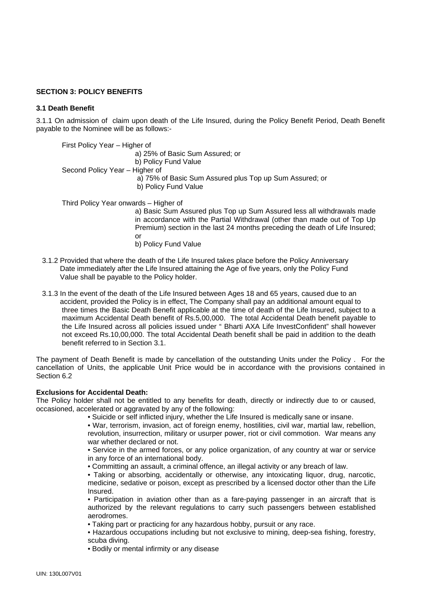# **SECTION 3: POLICY BENEFITS**

# **3 .1 Death Benefit**

3.1.1 On admission of claim upon death of the Life Insured, during the Policy Benefit Period, Death Benefit payable to the Nominee will be as follows:-

First Policy Year – Higher of a) 25% of Basic Sum Assured; or b) Policy Fund Value Second Policy Year – Higher of a) 75% of Basic Sum Assured plus Top up Sum Assured; or b) Policy Fund Value

Third Policy Year onwards – Higher of

 a) Basic Sum Assured plus Top up Sum Assured less all withdrawals made in accordance with the Partial Withdrawal (other than made out of Top Up Premium) section in the last 24 months preceding the death of Life Insured; or

- b) Policy Fund Value
- 3.1.2 Provided that where the death of the Life Insured takes place before the Policy Anniversary Date immediately after the Life Insured attaining the Age of five years, only the Policy Fund Value shall be payable to the Policy holder.
- 3.1.3 In the event of the death of the Life Insured between Ages 18 and 65 years, caused due to an accident, provided the Policy is in effect, The Company shall pay an additional amount equal to three times the Basic Death Benefit applicable at the time of death of the Life Insured, subject to a maximum Accidental Death benefit of Rs.5,00,000. The total Accidental Death benefit payable to the Life Insured across all policies issued under " Bharti AXA Life InvestConfident" shall however not exceed Rs.10,00,000. The total Accidental Death benefit shall be paid in addition to the death benefit referred to in Section 3.1.

The payment of Death Benefit is made by cancellation of the outstanding Units under the Policy . For the cancellation of Units, the applicable Unit Price would be in accordance with the provisions contained in Section 6.2

#### **Exclusions for Accidental Death:**

The Policy holder shall not be entitled to any benefits for death, directly or indirectly due to or caused, occasioned, accelerated or aggravated by any of the following:

• Suicide or self inflicted injury, whether the Life Insured is medically sane or insane.

 • War, terrorism, invasion, act of foreign enemy, hostilities, civil war, martial law, rebellion, revolution, insurrection, military or usurper power, riot or civil commotion. War means any war whether declared or not.

 • Service in the armed forces, or any police organization, of any country at war or service in any force of an international body.

• Committing an assault, a criminal offence, an illegal activity or any breach of law.

 • Taking or absorbing, accidentally or otherwise, any intoxicating liquor, drug, narcotic, medicine, sedative or poison, except as prescribed by a licensed doctor other than the Life Insured.

 • Participation in aviation other than as a fare-paying passenger in an aircraft that is authorized by the relevant regulations to carry such passengers between established aerodromes.

• Taking part or practicing for any hazardous hobby, pursuit or any race.

 • Hazardous occupations including but not exclusive to mining, deep-sea fishing, forestry, scuba diving.

• Bodily or mental infirmity or any disease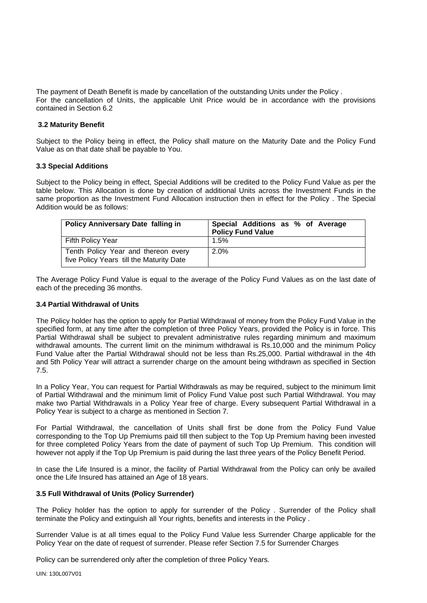The payment of Death Benefit is made by cancellation of the outstanding Units under the Policy . For the cancellation of Units, the applicable Unit Price would be in accordance with the provisions contained in Section 6.2

# **3.2 Maturity Benefit**

Subject to the Policy being in effect, the Policy shall mature on the Maturity Date and the Policy Fund Value as on that date shall be payable to You.

# **3.3 Special Additions**

Subject to the Policy being in effect, Special Additions will be credited to the Policy Fund Value as per the table below. This Allocation is done by creation of additional Units across the Investment Funds in the same proportion as the Investment Fund Allocation instruction then in effect for the Policy . The Special Addition would be as follows:

| <b>Policy Anniversary Date falling in</b>                                       | Special Additions as % of Average<br><b>Policy Fund Value</b> |
|---------------------------------------------------------------------------------|---------------------------------------------------------------|
| Fifth Policy Year                                                               | 1.5%                                                          |
| Tenth Policy Year and thereon every<br>five Policy Years till the Maturity Date | 2.0%                                                          |

The Average Policy Fund Value is equal to the average of the Policy Fund Values as on the last date of each of the preceding 36 months.

### **3.4 Partial Withdrawal of Units**

The Policy holder has the option to apply for Partial Withdrawal of money from the Policy Fund Value in the specified form, at any time after the completion of three Policy Years, provided the Policy is in force. This Partial Withdrawal shall be subject to prevalent administrative rules regarding minimum and maximum withdrawal amounts. The current limit on the minimum withdrawal is Rs.10,000 and the minimum Policy Fund Value after the Partial Withdrawal should not be less than Rs.25,000. Partial withdrawal in the 4th and 5th Policy Year will attract a surrender charge on the amount being withdrawn as specified in Section 7.5.

In a Policy Year, You can request for Partial Withdrawals as may be required, subject to the minimum limit of Partial Withdrawal and the minimum limit of Policy Fund Value post such Partial Withdrawal. You may make two Partial Withdrawals in a Policy Year free of charge. Every subsequent Partial Withdrawal in a Policy Year is subject to a charge as mentioned in Section 7.

For Partial Withdrawal, the cancellation of Units shall first be done from the Policy Fund Value corresponding to the Top Up Premiums paid till then subject to the Top Up Premium having been invested for three completed Policy Years from the date of payment of such Top Up Premium. This condition will however not apply if the Top Up Premium is paid during the last three years of the Policy Benefit Period.

In case the Life Insured is a minor, the facility of Partial Withdrawal from the Policy can only be availed once the Life Insured has attained an Age of 18 years.

#### **3.5 Full Withdrawal of Units (Policy Surrender)**

The Policy holder has the option to apply for surrender of the Policy . Surrender of the Policy shall terminate the Policy and extinguish all Your rights, benefits and interests in the Policy .

Surrender Value is at all times equal to the Policy Fund Value less Surrender Charge applicable for the Policy Year on the date of request of surrender. Please refer Section 7.5 for Surrender Charges

Policy can be surrendered only after the completion of three Policy Years.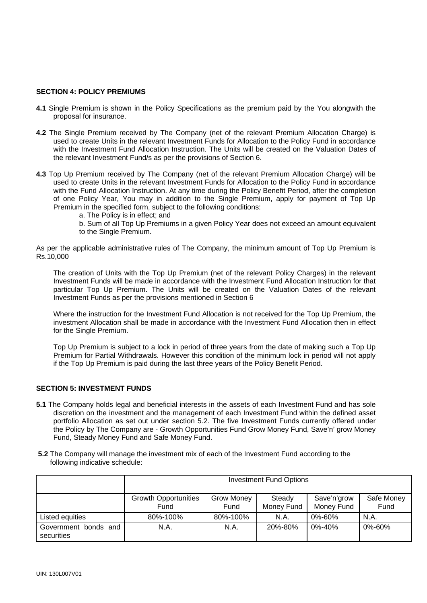#### **SECTION 4: POLICY PREMIUMS**

- **4.1** Single Premium is shown in the Policy Specifications as the premium paid by the You alongwith the proposal for insurance.
- **4.2** The Single Premium received by The Company (net of the relevant Premium Allocation Charge) is used to create Units in the relevant Investment Funds for Allocation to the Policy Fund in accordance with the Investment Fund Allocation Instruction. The Units will be created on the Valuation Dates of the relevant Investment Fund/s as per the provisions of Section 6.
- **4.3** Top Up Premium received by The Company (net of the relevant Premium Allocation Charge) will be used to create Units in the relevant Investment Funds for Allocation to the Policy Fund in accordance with the Fund Allocation Instruction. At any time during the Policy Benefit Period, after the completion of one Policy Year, You may in addition to the Single Premium, apply for payment of Top Up Premium in the specified form, subject to the following conditions:
	- a. The Policy is in effect; and
	- b. Sum of all Top Up Premiums in a given Policy Year does not exceed an amount equivalent to the Single Premium.

As per the applicable administrative rules of The Company, the minimum amount of Top Up Premium is Rs.10,000

The creation of Units with the Top Up Premium (net of the relevant Policy Charges) in the relevant Investment Funds will be made in accordance with the Investment Fund Allocation Instruction for that particular Top Up Premium. The Units will be created on the Valuation Dates of the relevant Investment Funds as per the provisions mentioned in Section 6

Where the instruction for the Investment Fund Allocation is not received for the Top Up Premium, the investment Allocation shall be made in accordance with the Investment Fund Allocation then in effect for the Single Premium.

Top Up Premium is subject to a lock in period of three years from the date of making such a Top Up Premium for Partial Withdrawals. However this condition of the minimum lock in period will not apply if the Top Up Premium is paid during the last three years of the Policy Benefit Period.

#### **SECTION 5: INVESTMENT FUNDS**

- **5.1** The Company holds legal and beneficial interests in the assets of each Investment Fund and has sole discretion on the investment and the management of each Investment Fund within the defined asset portfolio Allocation as set out under section 5.2. The five Investment Funds currently offered under the Policy by The Company are - Growth Opportunities Fund Grow Money Fund, Save'n' grow Money Fund, Steady Money Fund and Safe Money Fund.
- **5.2** The Company will manage the investment mix of each of the Investment Fund according to the following indicative schedule:

|                                    | <b>Investment Fund Options</b>      |                    |                      |                           |                    |
|------------------------------------|-------------------------------------|--------------------|----------------------|---------------------------|--------------------|
|                                    | <b>Growth Opportunities</b><br>Fund | Grow Money<br>Fund | Steady<br>Money Fund | Save'n'grow<br>Money Fund | Safe Money<br>Fund |
| Listed equities                    | 80%-100%                            | 80%-100%           | N.A.                 | $0\% - 60\%$              | N.A.               |
| Government bonds and<br>securities | N.A.                                | N.A.               | 20%-80%              | $0\% - 40\%$              | 0%-60%             |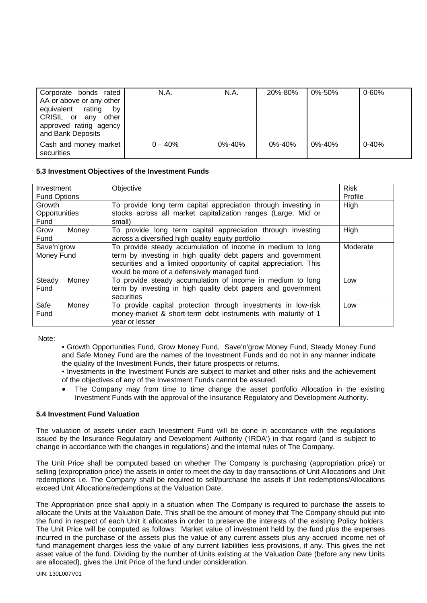| Corporate bonds rated<br>AA or above or any other<br>equivalent rating<br>bv<br>CRISIL or any other<br>approved rating agency<br>and Bank Deposits | N.A.      | N.A.         | 20%-80%      | 0%-50%       | $0 - 60%$ |
|----------------------------------------------------------------------------------------------------------------------------------------------------|-----------|--------------|--------------|--------------|-----------|
| Cash and money market<br>securities                                                                                                                | $0 - 40%$ | $0\% - 40\%$ | $0\% - 40\%$ | $0\% - 40\%$ | $0 - 40%$ |

# **5.3 Investment Objectives of the Investment Funds**

| Objective<br>Investment |                                                                    | <b>Risk</b> |  |
|-------------------------|--------------------------------------------------------------------|-------------|--|
| <b>Fund Options</b>     |                                                                    | Profile     |  |
| Growth                  | To provide long term capital appreciation through investing in     | High        |  |
| Opportunities           | stocks across all market capitalization ranges (Large, Mid or      |             |  |
| Fund                    | small)                                                             |             |  |
| Grow<br>Money           | To provide long term capital appreciation through investing        | High        |  |
| Fund                    | across a diversified high quality equity portfolio                 |             |  |
| Save'n'grow             | To provide steady accumulation of income in medium to long         | Moderate    |  |
| Money Fund              | term by investing in high quality debt papers and government       |             |  |
|                         | securities and a limited opportunity of capital appreciation. This |             |  |
|                         | would be more of a defensively managed fund                        |             |  |
| Steady<br>Money         | To provide steady accumulation of income in medium to long         | Low         |  |
| Fund                    | term by investing in high quality debt papers and government       |             |  |
|                         | securities                                                         |             |  |
| Safe<br>Money           | To provide capital protection through investments in low-risk      | Low         |  |
| Fund                    | money-market & short-term debt instruments with maturity of 1      |             |  |
|                         | vear or lesser                                                     |             |  |

Note:

 • Growth Opportunities Fund, Grow Money Fund, Save'n'grow Money Fund, Steady Money Fund and Safe Money Fund are the names of the Investment Funds and do not in any manner indicate the quality of the Investment Funds, their future prospects or returns.

 • Investments in the Investment Funds are subject to market and other risks and the achievement of the objectives of any of the Investment Funds cannot be assured.

The Company may from time to time change the asset portfolio Allocation in the existing Investment Funds with the approval of the Insurance Regulatory and Development Authority.

#### **5.4 Investment Fund Valuation**

The valuation of assets under each Investment Fund will be done in accordance with the regulations issued by the Insurance Regulatory and Development Authority ('IRDA') in that regard (and is subject to change in accordance with the changes in regulations) and the internal rules of The Company.

The Unit Price shall be computed based on whether The Company is purchasing (appropriation price) or selling (expropriation price) the assets in order to meet the day to day transactions of Unit Allocations and Unit redemptions i.e. The Company shall be required to sell/purchase the assets if Unit redemptions/Allocations exceed Unit Allocations/redemptions at the Valuation Date.

The Appropriation price shall apply in a situation when The Company is required to purchase the assets to allocate the Units at the Valuation Date. This shall be the amount of money that The Company should put into the fund in respect of each Unit it allocates in order to preserve the interests of the existing Policy holders. The Unit Price will be computed as follows: Market value of investment held by the fund plus the expenses incurred in the purchase of the assets plus the value of any current assets plus any accrued income net of fund management charges less the value of any current liabilities less provisions, if any. This gives the net asset value of the fund. Dividing by the number of Units existing at the Valuation Date (before any new Units are allocated), gives the Unit Price of the fund under consideration.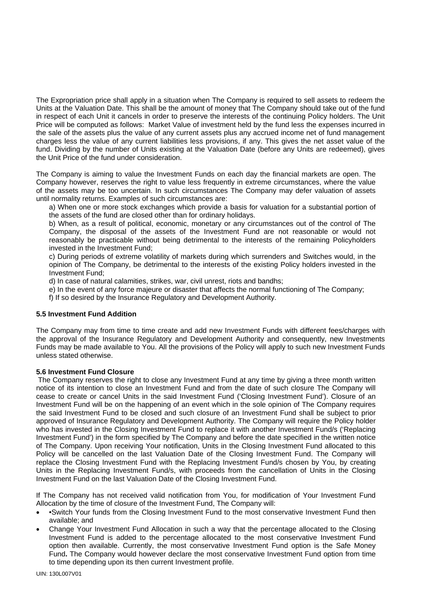The Expropriation price shall apply in a situation when The Company is required to sell assets to redeem the Units at the Valuation Date. This shall be the amount of money that The Company should take out of the fund in respect of each Unit it cancels in order to preserve the interests of the continuing Policy holders. The Unit Price will be computed as follows: Market Value of investment held by the fund less the expenses incurred in the sale of the assets plus the value of any current assets plus any accrued income net of fund management charges less the value of any current liabilities less provisions, if any. This gives the net asset value of the fund. Dividing by the number of Units existing at the Valuation Date (before any Units are redeemed), gives the Unit Price of the fund under consideration.

The Company is aiming to value the Investment Funds on each day the financial markets are open. The Company however, reserves the right to value less frequently in extreme circumstances, where the value of the assets may be too uncertain. In such circumstances The Company may defer valuation of assets until normality returns. Examples of such circumstances are:

a) When one or more stock exchanges which provide a basis for valuation for a substantial portion of the assets of the fund are closed other than for ordinary holidays.

b) When, as a result of political, economic, monetary or any circumstances out of the control of The Company, the disposal of the assets of the Investment Fund are not reasonable or would not reasonably be practicable without being detrimental to the interests of the remaining Policyholders invested in the Investment Fund;

c) During periods of extreme volatility of markets during which surrenders and Switches would, in the opinion of The Company, be detrimental to the interests of the existing Policy holders invested in the Investment Fund;

d) In case of natural calamities, strikes, war, civil unrest, riots and bandhs;

e) In the event of any force majeure or disaster that affects the normal functioning of The Company;

f) If so desired by the Insurance Regulatory and Development Authority.

#### **5.5 Investment Fund Addition**

The Company may from time to time create and add new Investment Funds with different fees/charges with the approval of the Insurance Regulatory and Development Authority and consequently, new Investments Funds may be made available to You. All the provisions of the Policy will apply to such new Investment Funds unless stated otherwise.

#### **5.6 Investment Fund Closure**

The Company reserves the right to close any Investment Fund at any time by giving a three month written notice of its intention to close an Investment Fund and from the date of such closure The Company will cease to create or cancel Units in the said Investment Fund ('Closing Investment Fund'). Closure of an Investment Fund will be on the happening of an event which in the sole opinion of The Company requires the said Investment Fund to be closed and such closure of an Investment Fund shall be subject to prior approved of Insurance Regulatory and Development Authority. The Company will require the Policy holder who has invested in the Closing Investment Fund to replace it with another Investment Fund/s ('Replacing Investment Fund') in the form specified by The Company and before the date specified in the written notice of The Company. Upon receiving Your notification, Units in the Closing Investment Fund allocated to this Policy will be cancelled on the last Valuation Date of the Closing Investment Fund. The Company will replace the Closing Investment Fund with the Replacing Investment Fund/s chosen by You, by creating Units in the Replacing Investment Fund/s, with proceeds from the cancellation of Units in the Closing Investment Fund on the last Valuation Date of the Closing Investment Fund.

If The Company has not received valid notification from You, for modification of Your Investment Fund Allocation by the time of closure of the Investment Fund, The Company will:

- •Switch Your funds from the Closing Investment Fund to the most conservative Investment Fund then available; and
- Change Your Investment Fund Allocation in such a way that the percentage allocated to the Closing Investment Fund is added to the percentage allocated to the most conservative Investment Fund option then available. Currently, the most conservative Investment Fund option is the Safe Money Fund**.** The Company would however declare the most conservative Investment Fund option from time to time depending upon its then current Investment profile.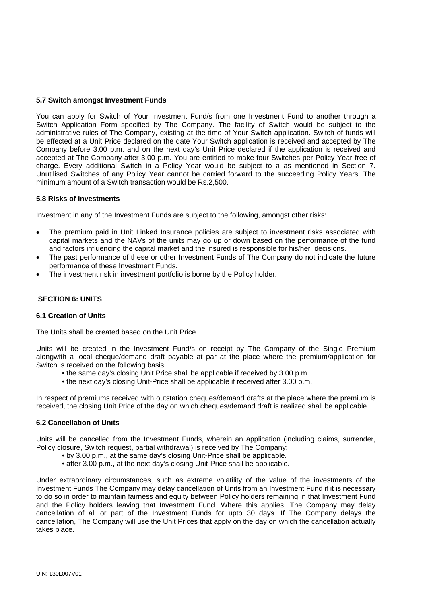# **5.7 Switch amongst Investment Funds**

You can apply for Switch of Your Investment Fund/s from one Investment Fund to another through a Switch Application Form specified by The Company. The facility of Switch would be subject to the administrative rules of The Company, existing at the time of Your Switch application. Switch of funds will be effected at a Unit Price declared on the date Your Switch application is received and accepted by The Company before 3.00 p.m. and on the next day's Unit Price declared if the application is received and accepted at The Company after 3.00 p.m. You are entitled to make four Switches per Policy Year free of charge. Every additional Switch in a Policy Year would be subject to a as mentioned in Section 7. Unutilised Switches of any Policy Year cannot be carried forward to the succeeding Policy Years. The minimum amount of a Switch transaction would be Rs.2,500.

# **5.8 Risks of investments**

Investment in any of the Investment Funds are subject to the following, amongst other risks:

- The premium paid in Unit Linked Insurance policies are subject to investment risks associated with capital markets and the NAVs of the units may go up or down based on the performance of the fund and factors influencing the capital market and the insured is responsible for his/her decisions.
- The past performance of these or other Investment Funds of The Company do not indicate the future performance of these Investment Funds.
- The investment risk in investment portfolio is borne by the Policy holder.

# **SECTION 6: UNITS**

#### **6.1 Creation of Units**

The Units shall be created based on the Unit Price.

Units will be created in the Investment Fund/s on receipt by The Company of the Single Premium alongwith a local cheque/demand draft payable at par at the place where the premium/application for Switch is received on the following basis:

- the same day's closing Unit Price shall be applicable if received by 3.00 p.m.
- the next day's closing Unit-Price shall be applicable if received after 3.00 p.m.

In respect of premiums received with outstation cheques/demand drafts at the place where the premium is received, the closing Unit Price of the day on which cheques/demand draft is realized shall be applicable.

#### **6.2 Cancellation of Units**

Units will be cancelled from the Investment Funds, wherein an application (including claims, surrender, Policy closure, Switch request, partial withdrawal) is received by The Company:

- by 3.00 p.m., at the same day's closing Unit-Price shall be applicable.
- after 3.00 p.m., at the next day's closing Unit-Price shall be applicable.

Under extraordinary circumstances, such as extreme volatility of the value of the investments of the Investment Funds The Company may delay cancellation of Units from an Investment Fund if it is necessary to do so in order to maintain fairness and equity between Policy holders remaining in that Investment Fund and the Policy holders leaving that Investment Fund. Where this applies, The Company may delay cancellation of all or part of the Investment Funds for upto 30 days. If The Company delays the cancellation, The Company will use the Unit Prices that apply on the day on which the cancellation actually takes place.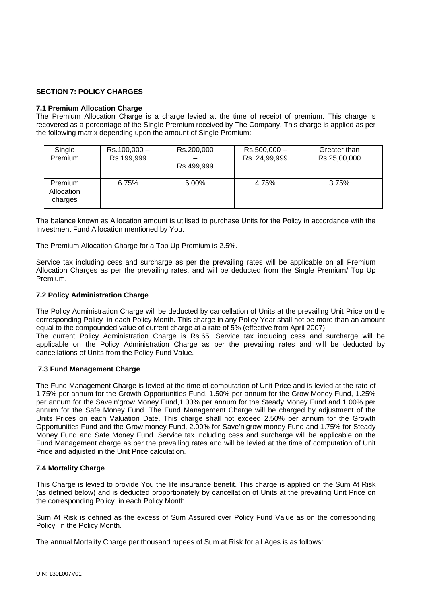# **SECTION 7: POLICY CHARGES**

# **7.1 Premium Allocation Charge**

The Premium Allocation Charge is a charge levied at the time of receipt of premium. This charge is recovered as a percentage of the Single Premium received by The Company. This charge is applied as per the following matrix depending upon the amount of Single Premium:

| Single                           | $Rs.100,000 -$ | Rs.200,000 | $Rs.500,000 -$ | Greater than |
|----------------------------------|----------------|------------|----------------|--------------|
| Premium                          | Rs 199,999     | Rs.499,999 | Rs. 24,99,999  | Rs.25,00,000 |
| Premium<br>Allocation<br>charges | 6.75%          | $6.00\%$   | 4.75%          | 3.75%        |

The balance known as Allocation amount is utilised to purchase Units for the Policy in accordance with the Investment Fund Allocation mentioned by You.

The Premium Allocation Charge for a Top Up Premium is 2.5%.

Service tax including cess and surcharge as per the prevailing rates will be applicable on all Premium Allocation Charges as per the prevailing rates, and will be deducted from the Single Premium/ Top Up Premium.

# **7.2 Policy Administration Charge**

The Policy Administration Charge will be deducted by cancellation of Units at the prevailing Unit Price on the corresponding Policy in each Policy Month. This charge in any Policy Year shall not be more than an amount equal to the compounded value of current charge at a rate of 5% (effective from April 2007).

The current Policy Administration Charge is Rs.65. Service tax including cess and surcharge will be applicable on the Policy Administration Charge as per the prevailing rates and will be deducted by cancellations of Units from the Policy Fund Value.

# **7.3 Fund Management Charge**

The Fund Management Charge is levied at the time of computation of Unit Price and is levied at the rate of 1.75% per annum for the Growth Opportunities Fund, 1.50% per annum for the Grow Money Fund, 1.25% per annum for the Save'n'grow Money Fund,1.00% per annum for the Steady Money Fund and 1.00% per annum for the Safe Money Fund. The Fund Management Charge will be charged by adjustment of the Units Prices on each Valuation Date. This charge shall not exceed 2.50% per annum for the Growth Opportunities Fund and the Grow money Fund, 2.00% for Save'n'grow money Fund and 1.75% for Steady Money Fund and Safe Money Fund. Service tax including cess and surcharge will be applicable on the Fund Management charge as per the prevailing rates and will be levied at the time of computation of Unit Price and adjusted in the Unit Price calculation.

# **7.4 Mortality Charge**

This Charge is levied to provide You the life insurance benefit. This charge is applied on the Sum At Risk (as defined below) and is deducted proportionately by cancellation of Units at the prevailing Unit Price on the corresponding Policy in each Policy Month.

Sum At Risk is defined as the excess of Sum Assured over Policy Fund Value as on the corresponding Policy in the Policy Month.

The annual Mortality Charge per thousand rupees of Sum at Risk for all Ages is as follows: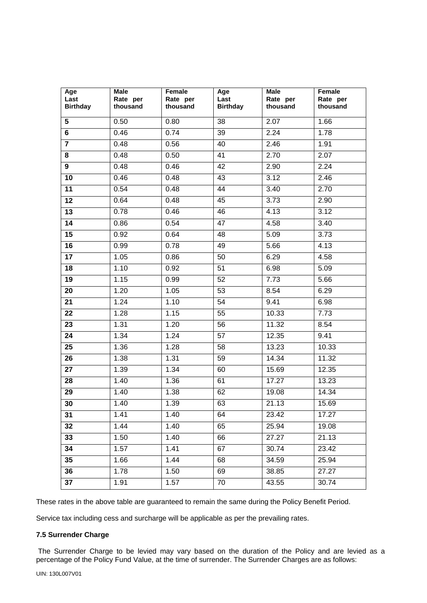| Age<br>Last<br><b>Birthday</b> | <b>Male</b><br>Rate per<br>thousand | Female<br>Rate per<br>thousand | Age<br>Last<br><b>Birthday</b> | Male<br>Rate per<br>thousand | Female<br>Rate per<br>thousand |
|--------------------------------|-------------------------------------|--------------------------------|--------------------------------|------------------------------|--------------------------------|
| $5\phantom{.0}$                | 0.50                                | 0.80                           | 38                             | 2.07                         | 1.66                           |
| 6                              | 0.46                                | 0.74                           | 39                             | 2.24                         | 1.78                           |
| $\overline{7}$                 | 0.48                                | 0.56                           | 40                             | 2.46                         | 1.91                           |
| 8                              | 0.48                                | 0.50                           | 41                             | 2.70                         | 2.07                           |
| 9                              | 0.48                                | 0.46                           | 42                             | 2.90                         | 2.24                           |
| 10                             | 0.46                                | 0.48                           | 43                             | 3.12                         | 2.46                           |
| 11                             | 0.54                                | 0.48                           | 44                             | 3.40                         | 2.70                           |
| 12                             | 0.64                                | 0.48                           | 45                             | 3.73                         | 2.90                           |
| 13                             | 0.78                                | 0.46                           | 46                             | 4.13                         | 3.12                           |
| 14                             | 0.86                                | 0.54                           | 47                             | 4.58                         | 3.40                           |
| 15                             | 0.92                                | 0.64                           | 48                             | 5.09                         | 3.73                           |
| 16                             | 0.99                                | 0.78                           | 49                             | 5.66                         | 4.13                           |
| 17                             | $\overline{1.05}$                   | 0.86                           | 50                             | 6.29                         | 4.58                           |
| 18                             | 1.10                                | 0.92                           | 51                             | 6.98                         | 5.09                           |
| 19                             | 1.15                                | 0.99                           | 52                             | 7.73                         | 5.66                           |
| 20                             | 1.20                                | 1.05                           | 53                             | 8.54                         | 6.29                           |
| 21                             | 1.24                                | 1.10                           | 54                             | 9.41                         | 6.98                           |
| 22                             | 1.28                                | 1.15                           | 55                             | 10.33                        | 7.73                           |
| 23                             | 1.31                                | 1.20                           | 56                             | 11.32                        | 8.54                           |
| 24                             | 1.34                                | 1.24                           | 57                             | 12.35                        | 9.41                           |
| 25                             | 1.36                                | 1.28                           | 58                             | 13.23                        | 10.33                          |
| 26                             | 1.38                                | 1.31                           | 59                             | 14.34                        | 11.32                          |
| 27                             | 1.39                                | 1.34                           | 60                             | 15.69                        | 12.35                          |
| 28                             | 1.40                                | 1.36                           | 61                             | 17.27                        | 13.23                          |
| 29                             | 1.40                                | 1.38                           | 62                             | 19.08                        | 14.34                          |
| 30                             | 1.40                                | 1.39                           | 63                             | 21.13                        | 15.69                          |
| 31                             | 1.41                                | 1.40                           | 64                             | 23.42                        | 17.27                          |
| 32                             | 1.44                                | 1.40                           | 65                             | 25.94                        | 19.08                          |
| 33                             | 1.50                                | 1.40                           | 66                             | 27.27                        | 21.13                          |
| 34                             | 1.57                                | 1.41                           | 67                             | 30.74                        | 23.42                          |
| 35                             | 1.66                                | 1.44                           | 68                             | 34.59                        | 25.94                          |
| 36                             | 1.78                                | 1.50                           | 69                             | 38.85                        | 27.27                          |
| 37                             | 1.91                                | 1.57                           | 70                             | 43.55                        | 30.74                          |

These rates in the above table are guaranteed to remain the same during the Policy Benefit Period.

Service tax including cess and surcharge will be applicable as per the prevailing rates.

# **7.5 Surrender Charge**

 The Surrender Charge to be levied may vary based on the duration of the Policy and are levied as a percentage of the Policy Fund Value, at the time of surrender. The Surrender Charges are as follows: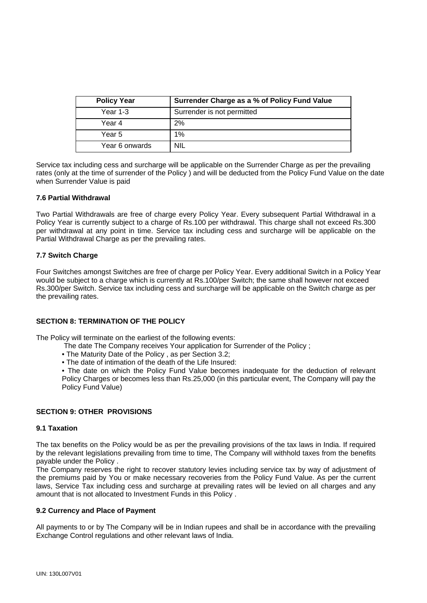| <b>Policy Year</b> | Surrender Charge as a % of Policy Fund Value |
|--------------------|----------------------------------------------|
| Year 1-3           | Surrender is not permitted                   |
| Year 4             | 2%                                           |
| Year 5             | 1%                                           |
| Year 6 onwards     | <b>NIL</b>                                   |

Service tax including cess and surcharge will be applicable on the Surrender Charge as per the prevailing rates (only at the time of surrender of the Policy ) and will be deducted from the Policy Fund Value on the date when Surrender Value is paid

# **7.6 Partial Withdrawal**

Two Partial Withdrawals are free of charge every Policy Year. Every subsequent Partial Withdrawal in a Policy Year is currently subject to a charge of Rs.100 per withdrawal. This charge shall not exceed Rs.300 per withdrawal at any point in time. Service tax including cess and surcharge will be applicable on the Partial Withdrawal Charge as per the prevailing rates.

# **7.7 Switch Charge**

Four Switches amongst Switches are free of charge per Policy Year. Every additional Switch in a Policy Year would be subject to a charge which is currently at Rs.100/per Switch; the same shall however not exceed Rs.300/per Switch. Service tax including cess and surcharge will be applicable on the Switch charge as per the prevailing rates.

# **SECTION 8: TERMINATION OF THE POLICY**

The Policy will terminate on the earliest of the following events:

- The date The Company receives Your application for Surrender of the Policy ;
- The Maturity Date of the Policy , as per Section 3.2;
- The date of intimation of the death of the Life Insured:

 • The date on which the Policy Fund Value becomes inadequate for the deduction of relevant Policy Charges or becomes less than Rs.25,000 (in this particular event, The Company will pay the Policy Fund Value)

# **SECTION 9: OTHER PROVISIONS**

#### **9.1 Taxation**

The tax benefits on the Policy would be as per the prevailing provisions of the tax laws in India. If required by the relevant legislations prevailing from time to time, The Company will withhold taxes from the benefits payable under the Policy .

The Company reserves the right to recover statutory levies including service tax by way of adjustment of the premiums paid by You or make necessary recoveries from the Policy Fund Value. As per the current laws, Service Tax including cess and surcharge at prevailing rates will be levied on all charges and any amount that is not allocated to Investment Funds in this Policy .

#### **9.2 Currency and Place of Payment**

All payments to or by The Company will be in Indian rupees and shall be in accordance with the prevailing Exchange Control regulations and other relevant laws of India.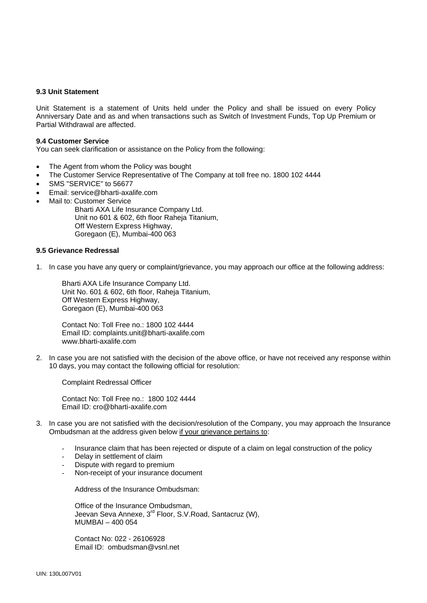#### **9.3 Unit Statement**

Unit Statement is a statement of Units held under the Policy and shall be issued on every Policy Anniversary Date and as and when transactions such as Switch of Investment Funds, Top Up Premium or Partial Withdrawal are affected.

#### **9.4 Customer Service**

You can seek clarification or assistance on the Policy from the following:

- The Agent from whom the Policy was bought
- The Customer Service Representative of The Company at toll free no. 1800 102 4444
- SMS "SERVICE" to 56677
- Email: service@bharti-axalife.com
- Mail to: Customer Service
	- Bharti AXA Life Insurance Company Ltd. Unit no 601 & 602, 6th floor Raheja Titanium, Off Western Express Highway, Goregaon (E), Mumbai-400 063

#### **9.5 Grievance Redressal**

1. In case you have any query or complaint/grievance, you may approach our office at the following address:

Bharti AXA Life Insurance Company Ltd. Unit No. 601 & 602, 6th floor, Raheja Titanium, Off Western Express Highway, Goregaon (E), Mumbai-400 063

 Contact No: Toll Free no.: 1800 102 4444 Email ID: complaints.unit@bharti-axalife.com www.bharti-axalife.com

2. In case you are not satisfied with the decision of the above office, or have not received any response within 10 days, you may contact the following official for resolution:

Complaint Redressal Officer

 Contact No: Toll Free no.: 1800 102 4444 Email ID: [cro@bharti-axalife.com](mailto:cro@bharti-axalife.com)

- 3. In case you are not satisfied with the decision/resolution of the Company, you may approach the Insurance Ombudsman at the address given below if your grievance pertains to:
	- Insurance claim that has been rejected or dispute of a claim on legal construction of the policy
	- Delay in settlement of claim
	- Dispute with regard to premium
	- Non-receipt of your insurance document

Address of the Insurance Ombudsman:

Office of the Insurance Ombudsman, Jeevan Seva Annexe, 3<sup>rd</sup> Floor, S.V.Road, Santacruz (W), MUMBAI – 400 054

 Contact No: 022 - 26106928 Email ID: [ombudsman@vsnl.net](mailto:ombudsman@vsnl.net)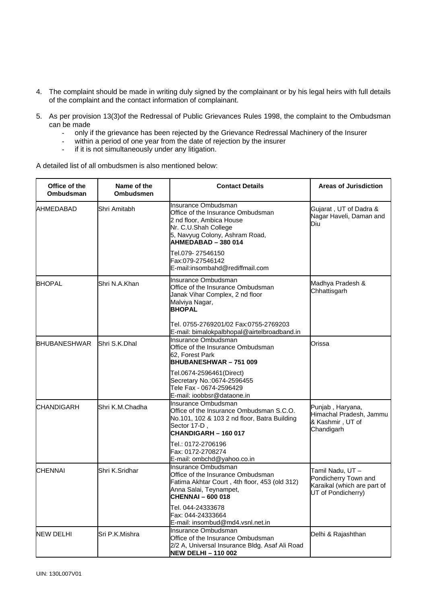- 4. The complaint should be made in writing duly signed by the complainant or by his legal heirs with full details of the complaint and the contact information of complainant.
- 5. As per provision 13(3)of the Redressal of Public Grievances Rules 1998, the complaint to the Ombudsman can be made
	- only if the grievance has been rejected by the Grievance Redressal Machinery of the Insurer
	- within a period of one year from the date of rejection by the insurer
	- if it is not simultaneously under any litigation.

A detailed list of all ombudsmen is also mentioned below:

| Office of the<br><b>Ombudsman</b> | Name of the<br><b>Ombudsmen</b> | <b>Contact Details</b>                                                                                                                                                | <b>Areas of Jurisdiction</b>                                                                 |
|-----------------------------------|---------------------------------|-----------------------------------------------------------------------------------------------------------------------------------------------------------------------|----------------------------------------------------------------------------------------------|
| AHMEDABAD                         | Shri Amitabh                    | Insurance Ombudsman<br>Office of the Insurance Ombudsman<br>2 nd floor, Ambica House<br>Nr. C.U.Shah College<br>5, Navyug Colony, Ashram Road,<br>AHMEDABAD - 380 014 | Gujarat, UT of Dadra &<br>Nagar Haveli, Daman and<br>Diu                                     |
|                                   |                                 | Tel.079- 27546150<br>Fax:079-27546142<br>E-mail:insombahd@rediffmail.com                                                                                              |                                                                                              |
| <b>BHOPAL</b>                     | Shri N.A.Khan                   | Insurance Ombudsman<br>Office of the Insurance Ombudsman<br>Janak Vihar Complex, 2 nd floor<br>Malviya Nagar,<br><b>BHOPAL</b>                                        | Madhya Pradesh &<br>Chhattisgarh                                                             |
|                                   |                                 | Tel. 0755-2769201/02 Fax:0755-2769203<br>E-mail: bimalokpalbhopal@airtelbroadband.in                                                                                  |                                                                                              |
| <b>BHUBANESHWAR</b>               | Shri S.K.Dhal                   | Insurance Ombudsman<br>Office of the Insurance Ombudsman<br>62, Forest Park<br><b>BHUBANESHWAR-751009</b>                                                             | Orissa                                                                                       |
|                                   |                                 | Tel.0674-2596461(Direct)<br>Secretary No.: 0674-2596455<br>Tele Fax - 0674-2596429<br>E-mail: ioobbsr@dataone.in                                                      |                                                                                              |
| <b>CHANDIGARH</b>                 | Shri K.M.Chadha                 | Insurance Ombudsman<br>Office of the Insurance Ombudsman S.C.O.<br>No.101, 102 & 103 2 nd floor, Batra Building<br>Sector 17-D,<br><b>CHANDIGARH - 160 017</b>        | Punjab, Haryana,<br>Himachal Pradesh, Jammu<br>& Kashmir, UT of<br>Chandigarh                |
|                                   |                                 | Tel.: 0172-2706196<br>Fax: 0172-2708274<br>E-mail: ombchd@yahoo.co.in                                                                                                 |                                                                                              |
| <b>CHENNAI</b>                    | Shri K.Sridhar                  | Insurance Ombudsman<br>Office of the Insurance Ombudsman<br>Fatima Akhtar Court, 4th floor, 453 (old 312)<br>Anna Salai, Teynampet,<br><b>CHENNAI - 600 018</b>       | Tamil Nadu, UT-<br>Pondicherry Town and<br>Karaikal (which are part of<br>UT of Pondicherry) |
|                                   |                                 | Tel. 044-24333678<br>Fax: 044-24333664<br>E-mail: insombud@md4.vsnl.net.in                                                                                            |                                                                                              |
| <b>NEW DELHI</b>                  | Sri P.K.Mishra                  | Insurance Ombudsman<br>Office of the Insurance Ombudsman<br>2/2 A, Universal Insurance Bldg. Asaf Ali Road<br><b>NEW DELHI-110 002</b>                                | Delhi & Rajashthan                                                                           |